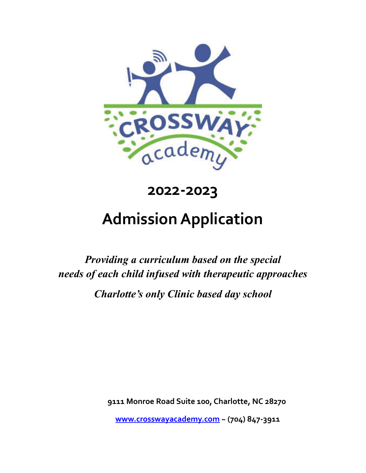

# **2022-2023**

# **AdmissionApplication**

*Providing a curriculum based on the special needs of each child infused with therapeutic approaches Charlotte's only Clinic based day school*

**9111 Monroe Road Suite 100, Charlotte, NC 28270**

**[www.crosswayacademy.com](http://www.crosswayacademy.com/) ~ (704) 847-3911**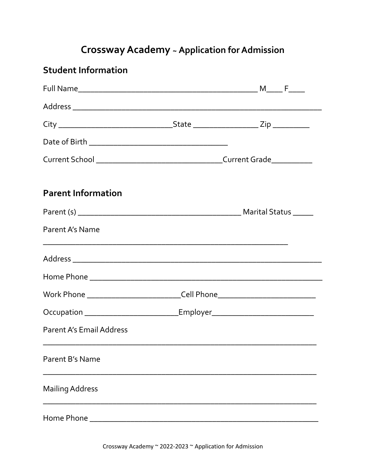## **Crossway Academy ~ Application for Admission**

### **Student Information**

| <b>Parent Information</b>                                                        |                                                                                  |  |
|----------------------------------------------------------------------------------|----------------------------------------------------------------------------------|--|
|                                                                                  |                                                                                  |  |
| Parent A's Name                                                                  |                                                                                  |  |
|                                                                                  |                                                                                  |  |
|                                                                                  |                                                                                  |  |
|                                                                                  | Work Phone ________________________________Cell Phone___________________________ |  |
| Occupation ____________________________Employer_________________________________ |                                                                                  |  |
| <b>Parent A's Email Address</b>                                                  |                                                                                  |  |
| Parent B's Name                                                                  |                                                                                  |  |
| <b>Mailing Address</b>                                                           |                                                                                  |  |
|                                                                                  |                                                                                  |  |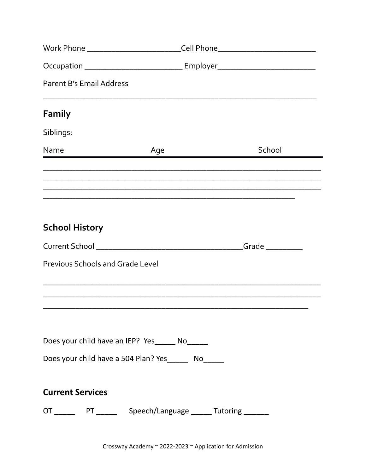|                                         | Work Phone ________________________________Cell Phone___________________________<br>Occupation ___________________________________Employer__________________________ |        |
|-----------------------------------------|----------------------------------------------------------------------------------------------------------------------------------------------------------------------|--------|
|                                         |                                                                                                                                                                      |        |
| <b>Parent B's Email Address</b>         |                                                                                                                                                                      |        |
| Family                                  |                                                                                                                                                                      |        |
| Siblings:                               |                                                                                                                                                                      |        |
| Name                                    | Age                                                                                                                                                                  | School |
|                                         |                                                                                                                                                                      |        |
|                                         |                                                                                                                                                                      |        |
| <b>School History</b>                   |                                                                                                                                                                      |        |
|                                         |                                                                                                                                                                      |        |
| <b>Previous Schools and Grade Level</b> |                                                                                                                                                                      |        |
|                                         |                                                                                                                                                                      |        |
|                                         | Does your child have an IEP? Yes______ No_____<br>Does your child have a 504 Plan? Yes________ No______                                                              |        |
|                                         |                                                                                                                                                                      |        |
| <b>Current Services</b>                 |                                                                                                                                                                      |        |
|                                         | OT _________ PT _________ Speech/Language _______ Tutoring ________                                                                                                  |        |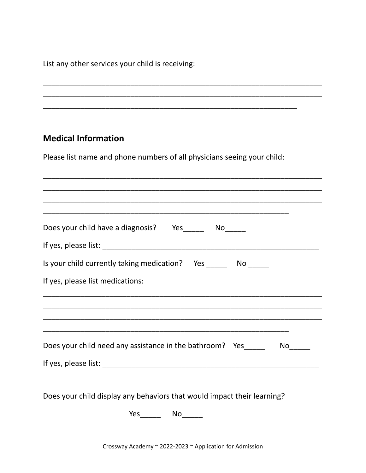List any other services your child is receiving:

# \_\_\_\_\_\_\_\_\_\_\_\_\_\_\_\_\_\_\_\_\_\_\_\_\_\_\_\_\_\_\_\_\_\_\_\_\_\_\_\_\_\_\_\_\_\_\_\_\_\_\_\_\_\_\_\_\_\_\_\_\_ **Medical Information** Please list name and phone numbers of all physicians seeing your child: \_\_\_\_\_\_\_\_\_\_\_\_\_\_\_\_\_\_\_\_\_\_\_\_\_\_\_\_\_\_\_\_\_\_\_\_\_\_\_\_\_\_\_\_\_\_\_\_\_\_\_\_\_\_\_\_\_\_\_\_\_\_\_\_\_\_\_ \_\_\_\_\_\_\_\_\_\_\_\_\_\_\_\_\_\_\_\_\_\_\_\_\_\_\_\_\_\_\_\_\_\_\_\_\_\_\_\_\_\_\_\_\_\_\_\_\_\_\_\_\_\_\_\_\_\_\_\_\_\_\_\_\_\_\_ \_\_\_\_\_\_\_\_\_\_\_\_\_\_\_\_\_\_\_\_\_\_\_\_\_\_\_\_\_\_\_\_\_\_\_\_\_\_\_\_\_\_\_\_\_\_\_\_\_\_\_\_\_\_\_\_\_\_\_\_\_\_\_\_\_\_\_ \_\_\_\_\_\_\_\_\_\_\_\_\_\_\_\_\_\_\_\_\_\_\_\_\_\_\_\_\_\_\_\_\_\_\_\_\_\_\_\_\_\_\_\_\_\_\_\_\_\_\_\_\_\_\_\_\_\_\_ Does your child have a diagnosis? Yes No If yes, please list: \_\_\_\_\_\_\_\_\_\_\_\_\_\_\_\_\_\_\_\_\_\_\_\_\_\_\_\_\_\_\_\_\_\_\_\_\_\_\_\_\_\_\_\_\_\_\_\_\_\_\_\_ Is your child currently taking medication? Yes \_\_\_\_\_\_ No \_\_\_\_\_ If yes, please list medications: \_\_\_\_\_\_\_\_\_\_\_\_\_\_\_\_\_\_\_\_\_\_\_\_\_\_\_\_\_\_\_\_\_\_\_\_\_\_\_\_\_\_\_\_\_\_\_\_\_\_\_\_\_\_\_\_\_\_\_\_\_\_\_\_\_\_\_ \_\_\_\_\_\_\_\_\_\_\_\_\_\_\_\_\_\_\_\_\_\_\_\_\_\_\_\_\_\_\_\_\_\_\_\_\_\_\_\_\_\_\_\_\_\_\_\_\_\_\_\_\_\_\_\_\_\_\_\_\_\_\_\_\_\_\_ \_\_\_\_\_\_\_\_\_\_\_\_\_\_\_\_\_\_\_\_\_\_\_\_\_\_\_\_\_\_\_\_\_\_\_\_\_\_\_\_\_\_\_\_\_\_\_\_\_\_\_\_\_\_\_\_\_\_\_\_\_\_\_\_\_\_\_ \_\_\_\_\_\_\_\_\_\_\_\_\_\_\_\_\_\_\_\_\_\_\_\_\_\_\_\_\_\_\_\_\_\_\_\_\_\_\_\_\_\_\_\_\_\_\_\_\_\_\_\_\_\_\_\_\_\_\_ Does your child need any assistance in the bathroom? Yes No If yes, please list: \_\_\_\_\_\_\_\_\_\_\_\_\_\_\_\_\_\_\_\_\_\_\_\_\_\_\_\_\_\_\_\_\_\_\_\_\_\_\_\_\_\_\_\_\_\_\_\_\_\_\_\_ Does your child display any behaviors that would impact their learning?

\_\_\_\_\_\_\_\_\_\_\_\_\_\_\_\_\_\_\_\_\_\_\_\_\_\_\_\_\_\_\_\_\_\_\_\_\_\_\_\_\_\_\_\_\_\_\_\_\_\_\_\_\_\_\_\_\_\_\_\_\_\_\_\_\_\_\_ \_\_\_\_\_\_\_\_\_\_\_\_\_\_\_\_\_\_\_\_\_\_\_\_\_\_\_\_\_\_\_\_\_\_\_\_\_\_\_\_\_\_\_\_\_\_\_\_\_\_\_\_\_\_\_\_\_\_\_\_\_\_\_\_\_\_\_

Yes<sup>No</sup>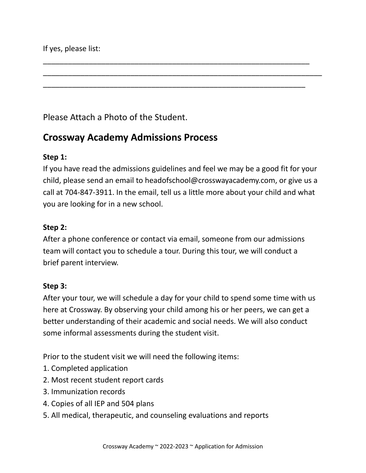Please Attach a Photo of the Student.

### **Crossway Academy Admissions Process**

#### **Step 1:**

If you have read the admissions guidelines and feel we may be a good fit for your child, please send an email to headofschoo[l@crosswayacademy.com,](mailto:alanna@crosswayacademy.com) or give us a call at 704-847-3911. In the email, tell us a little more about your child and what you are looking for in a new school.

\_\_\_\_\_\_\_\_\_\_\_\_\_\_\_\_\_\_\_\_\_\_\_\_\_\_\_\_\_\_\_\_\_\_\_\_\_\_\_\_\_\_\_\_\_\_\_\_\_\_\_\_\_\_\_\_\_\_\_\_\_\_\_\_

\_\_\_\_\_\_\_\_\_\_\_\_\_\_\_\_\_\_\_\_\_\_\_\_\_\_\_\_\_\_\_\_\_\_\_\_\_\_\_\_\_\_\_\_\_\_\_\_\_\_\_\_\_\_\_\_\_\_\_\_\_\_\_

\_\_\_\_\_\_\_\_\_\_\_\_\_\_\_\_\_\_\_\_\_\_\_\_\_\_\_\_\_\_\_\_\_\_\_\_\_\_\_\_\_\_\_\_\_\_\_\_\_\_\_\_\_\_\_\_\_\_\_\_\_\_\_\_\_\_\_

#### **Step 2:**

After a phone conference or contact via email, someone from our admissions team will contact you to schedule a tour. During this tour, we will conduct a brief parent interview.

#### **Step 3:**

After your tour, we will schedule a day for your child to spend some time with us here at Crossway. By observing your child among his or her peers, we can get a better understanding of their academic and social needs. We will also conduct some informal assessments during the student visit.

Prior to the student visit we will need the following items:

- 1. Completed application
- 2. Most recent student report cards
- 3. Immunization records
- 4. Copies of all IEP and 504 plans
- 5. All medical, therapeutic, and counseling evaluations and reports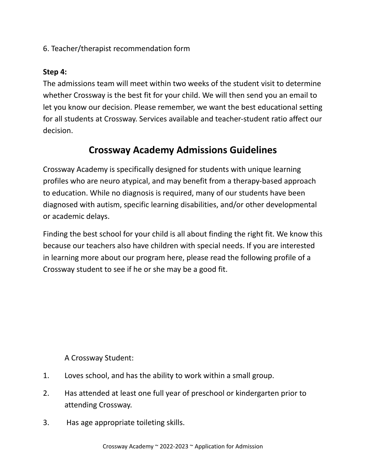6. Teacher/therapist recommendation form

#### **Step 4:**

The admissions team will meet within two weeks of the student visit to determine whether Crossway is the best fit for your child. We will then send you an email to let you know our decision. Please remember, we want the best educational setting for all students at Crossway. Services available and teacher-student ratio affect our decision.

## **Crossway Academy Admissions Guidelines**

Crossway Academy is specifically designed for students with unique learning profiles who are neuro atypical, and may benefit from a therapy-based approach to education. While no diagnosis is required, many of our students have been diagnosed with autism, specific learning disabilities, and/or other developmental or academic delays.

Finding the best school for your child is all about finding the right fit. We know this because our teachers also have children with special needs. If you are interested in learning more about our program here, please read the following profile of a Crossway student to see if he or she may be a good fit.

A Crossway Student:

- 1. Loves school, and has the ability to work within a small group.
- 2. Has attended at least one full year of preschool or kindergarten prior to attending Crossway.
- 3. Has age appropriate toileting skills.